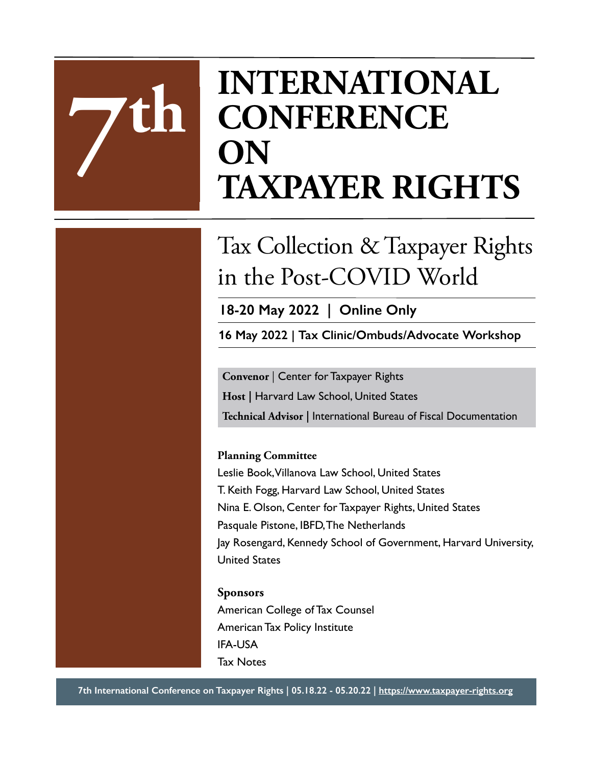# **INTERNATIONAL CONFERENCE ON 7 TAXPAYER RIGHTS**

# Tax Collection & Taxpayer Rights in the Post-COVID World

**18-20 May 2022 | Online Only**

**16 May 2022 | Tax Clinic/Ombuds/Advocate Workshop**

**Convenor** | Center for Taxpayer Rights **Host |** Harvard Law School, United States **Technical Advisor |** International Bureau of Fiscal Documentation

#### **Planning Committee**

Leslie Book, Villanova Law School, United States T. Keith Fogg, Harvard Law School, United States Nina E. Olson, Center for Taxpayer Rights, United States Pasquale Pistone, IBFD, The Netherlands Jay Rosengard, Kennedy School of Government, Harvard University, United States

#### **Sponsors**

**th**

American College of Tax Counsel American Tax Policy Institute IFA-USA Tax Notes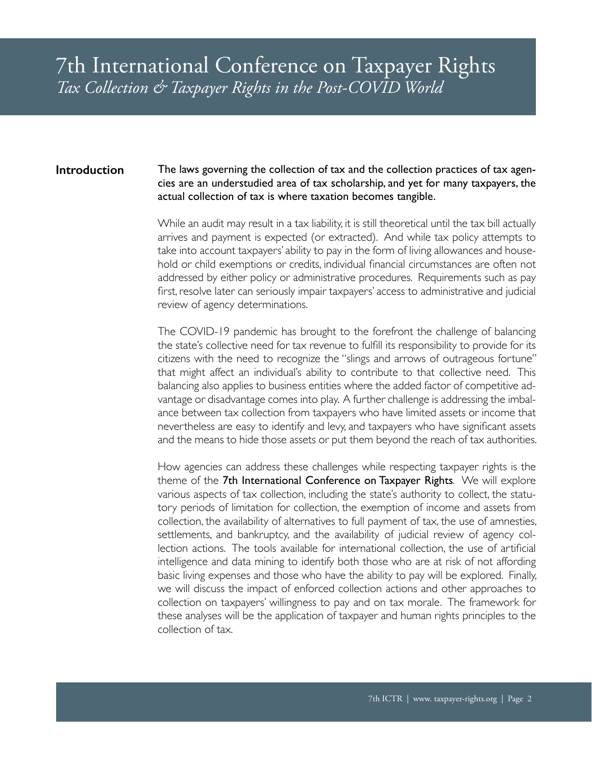#### The laws governing the collection of tax and the collection practices of tax agencies are an understudied area of tax scholarship, and yet for many taxpayers, the actual collection of tax is where taxation becomes tangible. **Introduction**

While an audit may result in a tax liability, it is still theoretical until the tax bill actually arrives and payment is expected (or extracted). And while tax policy attempts to take into account taxpayers' ability to pay in the form of living allowances and household or child exemptions or credits, individual financial circumstances are often not addressed by either policy or administrative procedures. Requirements such as pay first, resolve later can seriously impair taxpayers' access to administrative and judicial review of agency determinations.

The COVID-19 pandemic has brought to the forefront the challenge of balancing the state's collective need for tax revenue to fulfill its responsibility to provide for its citizens with the need to recognize the "slings and arrows of outrageous fortune" that might affect an individual's ability to contribute to that collective need. This balancing also applies to business entities where the added factor of competitive advantage or disadvantage comes into play. A further challenge is addressing the imbalance between tax collection from taxpayers who have limited assets or income that nevertheless are easy to identify and levy, and taxpayers who have significant assets and the means to hide those assets or put them beyond the reach of tax authorities.

How agencies can address these challenges while respecting taxpayer rights is the theme of the 7th International Conference on Taxpayer Rights*.* We will explore various aspects of tax collection, including the state's authority to collect, the statutory periods of limitation for collection, the exemption of income and assets from collection, the availability of alternatives to full payment of tax, the use of amnesties, settlements, and bankruptcy, and the availability of judicial review of agency collection actions. The tools available for international collection, the use of artificial intelligence and data mining to identify both those who are at risk of not affording basic living expenses and those who have the ability to pay will be explored. Finally, we will discuss the impact of enforced collection actions and other approaches to collection on taxpayers' willingness to pay and on tax morale. The framework for these analyses will be the application of taxpayer and human rights principles to the collection of tax.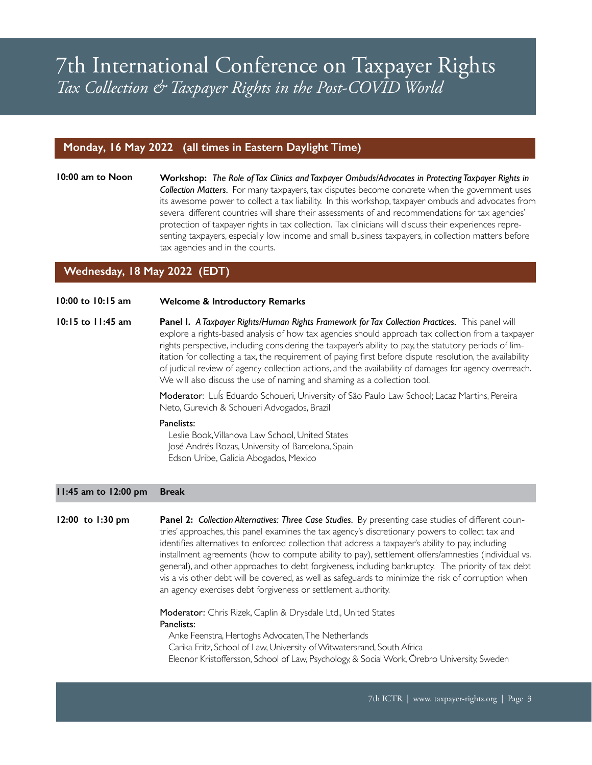#### **Monday, 16 May 2022 (all times in Eastern Daylight Time)**

**10:00 am to Noon Workshop:** *The Role of Tax Clinics and Taxpayer Ombuds/Advocates in Protecting Taxpayer Rights in Collection Matters.* For many taxpayers, tax disputes become concrete when the government uses its awesome power to collect a tax liability. In this workshop, taxpayer ombuds and advocates from several different countries will share their assessments of and recommendations for tax agencies' protection of taxpayer rights in tax collection. Tax clinicians will discuss their experiences representing taxpayers, especially low income and small business taxpayers, in collection matters before tax agencies and in the courts.

#### **Wednesday, 18 May 2022 (EDT)**

#### **10:00 to 10:15 am Welcome & Introductory Remarks**

**10:15 to 11:45 am Panel I.** *A Taxpayer Rights/Human Rights Framework for Tax Collection Practices.*This panel will explore a rights-based analysis of how tax agencies should approach tax collection from a taxpayer rights perspective, including considering the taxpayer's ability to pay, the statutory periods of limitation for collecting a tax, the requirement of paying first before dispute resolution, the availability of judicial review of agency collection actions, and the availability of damages for agency overreach. We will also discuss the use of naming and shaming as a collection tool.

> Moderator: LuÍs Eduardo Schoueri, University of São Paulo Law School; Lacaz Martins, Pereira Neto, Gurevich & Schoueri Advogados, Brazil

#### Panelists:

Leslie Book, Villanova Law School, United States José Andrés Rozas, University of Barcelona, Spain Edson Uribe, Galicia Abogados, Mexico

#### **11:45 am to 12:00 pm Break**

**12:00 to 1:30 pm Panel 2:** *Collection Alternatives: Three Case Studies.* By presenting case studies of different countries' approaches, this panel examines the tax agency's discretionary powers to collect tax and identifies alternatives to enforced collection that address a taxpayer's ability to pay, including installment agreements (how to compute ability to pay), settlement offers/amnesties (individual vs. general), and other approaches to debt forgiveness, including bankruptcy. The priority of tax debt vis a vis other debt will be covered, as well as safeguards to minimize the risk of corruption when an agency exercises debt forgiveness or settlement authority.

> Moderator: Chris Rizek, Caplin & Drysdale Ltd., United States Panelists: Anke Feenstra, Hertoghs Advocaten, The Netherlands

Carika Fritz, School of Law, University of Witwatersrand, South Africa Eleonor Kristoffersson, School of Law, Psychology, & Social Work, Örebro University, Sweden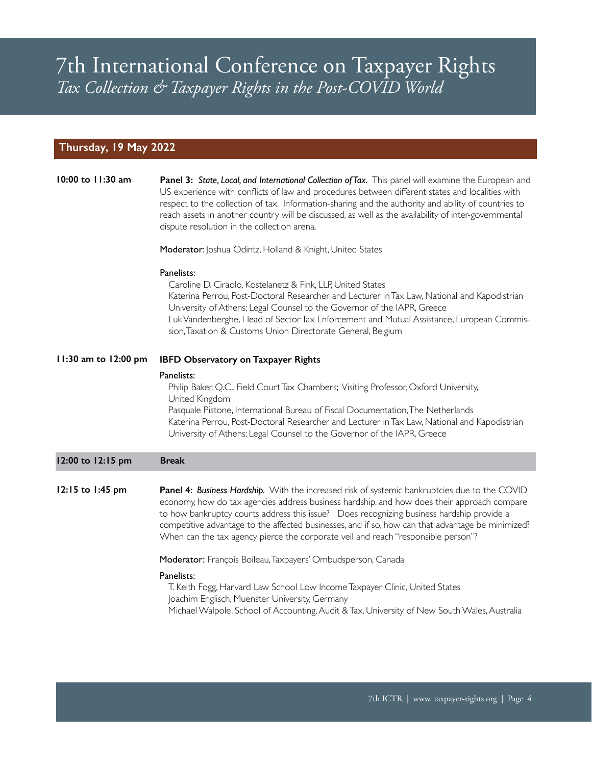#### **Thursday, 19 May 2022**

| 10:00 to 11:30 am    | Panel 3: State, Local, and International Collection of Tax. This panel will examine the European and<br>US experience with conflicts of law and procedures between different states and localities with<br>respect to the collection of tax. Information-sharing and the authority and ability of countries to<br>reach assets in another country will be discussed, as well as the availability of inter-governmental<br>dispute resolution in the collection arena.<br>Moderator: Joshua Odintz, Holland & Knight, United States<br>Panelists:<br>Caroline D. Ciraolo, Kostelanetz & Fink, LLP, United States<br>Katerina Perrou, Post-Doctoral Researcher and Lecturer in Tax Law, National and Kapodistrian<br>University of Athens; Legal Counsel to the Governor of the IAPR, Greece |
|----------------------|--------------------------------------------------------------------------------------------------------------------------------------------------------------------------------------------------------------------------------------------------------------------------------------------------------------------------------------------------------------------------------------------------------------------------------------------------------------------------------------------------------------------------------------------------------------------------------------------------------------------------------------------------------------------------------------------------------------------------------------------------------------------------------------------|
|                      | Luk Vandenberghe, Head of Sector Tax Enforcement and Mutual Assistance, European Commis-<br>sion, Taxation & Customs Union Directorate General, Belgium                                                                                                                                                                                                                                                                                                                                                                                                                                                                                                                                                                                                                                    |
| 11:30 am to 12:00 pm | <b>IBFD Observatory on Taxpayer Rights</b>                                                                                                                                                                                                                                                                                                                                                                                                                                                                                                                                                                                                                                                                                                                                                 |
|                      | Panelists:<br>Philip Baker, Q.C., Field Court Tax Chambers; Visiting Professor, Oxford University,<br>United Kingdom<br>Pasquale Pistone, International Bureau of Fiscal Documentation, The Netherlands<br>Katerina Perrou, Post-Doctoral Researcher and Lecturer in Tax Law, National and Kapodistrian<br>University of Athens; Legal Counsel to the Governor of the IAPR, Greece                                                                                                                                                                                                                                                                                                                                                                                                         |
| 12:00 to 12:15 pm    | <b>Break</b>                                                                                                                                                                                                                                                                                                                                                                                                                                                                                                                                                                                                                                                                                                                                                                               |
| 12:15 to 1:45 pm     | Panel 4: Business Hardship. With the increased risk of systemic bankruptcies due to the COVID<br>economy, how do tax agencies address business hardship, and how does their approach compare<br>to how bankruptcy courts address this issue?  Does recognizing business hardship provide a<br>competitive advantage to the affected businesses, and if so, how can that advantage be minimized?<br>When can the tax agency pierce the corporate veil and reach "responsible person"?                                                                                                                                                                                                                                                                                                       |
|                      | Moderator: François Boileau, Taxpayers' Ombudsperson, Canada                                                                                                                                                                                                                                                                                                                                                                                                                                                                                                                                                                                                                                                                                                                               |
|                      | Panelists:<br>T. Keith Fogg, Harvard Law School Low Income Taxpayer Clinic, United States<br>Joachim Englisch, Muenster University, Germany<br>Michael Walpole, School of Accounting, Audit & Tax, University of New South Wales, Australia                                                                                                                                                                                                                                                                                                                                                                                                                                                                                                                                                |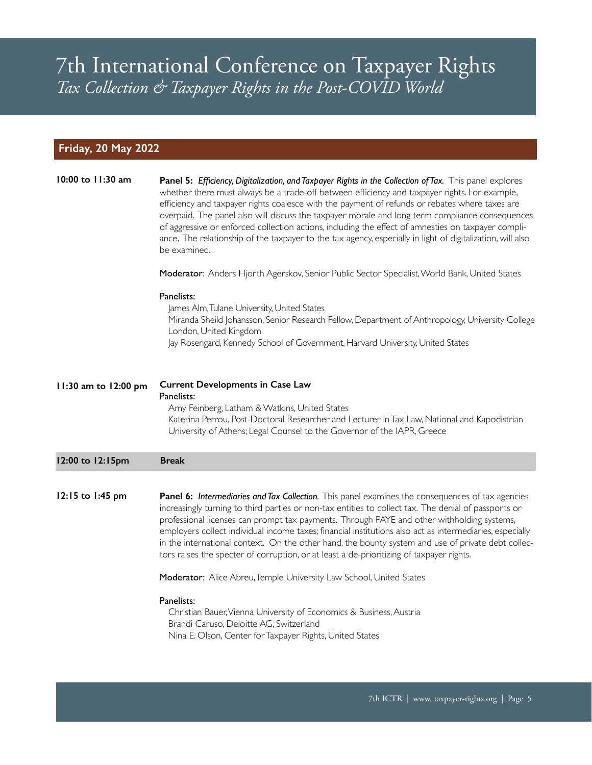#### **Friday, 20 May 2022**

| 10:00 to 11:30 am    | Panel 5: Efficiency, Digitalization, and Taxpayer Rights in the Collection of Tax. This panel explores<br>whether there must always be a trade-off between efficiency and taxpayer rights. For example,<br>efficiency and taxpayer rights coalesce with the payment of refunds or rebates where taxes are<br>overpaid. The panel also will discuss the taxpayer morale and long term compliance consequences<br>of aggressive or enforced collection actions, including the effect of amnesties on taxpayer compli-<br>ance. The relationship of the taxpayer to the tax agency, especially in light of digitalization, will also<br>be examined.<br>Moderator: Anders Hjorth Agerskov, Senior Public Sector Specialist, World Bank, United States<br>Panelists:<br>James Alm, Tulane University, United States |
|----------------------|-----------------------------------------------------------------------------------------------------------------------------------------------------------------------------------------------------------------------------------------------------------------------------------------------------------------------------------------------------------------------------------------------------------------------------------------------------------------------------------------------------------------------------------------------------------------------------------------------------------------------------------------------------------------------------------------------------------------------------------------------------------------------------------------------------------------|
|                      | Miranda Sheild Johansson, Senior Research Fellow, Department of Anthropology, University College<br>London, United Kingdom<br>Jay Rosengard, Kennedy School of Government, Harvard University, United States                                                                                                                                                                                                                                                                                                                                                                                                                                                                                                                                                                                                    |
| 11:30 am to 12:00 pm | <b>Current Developments in Case Law</b><br>Panelists:<br>Amy Feinberg, Latham & Watkins, United States<br>Katerina Perrou, Post-Doctoral Researcher and Lecturer in Tax Law, National and Kapodistrian<br>University of Athens; Legal Counsel to the Governor of the IAPR, Greece                                                                                                                                                                                                                                                                                                                                                                                                                                                                                                                               |
| 12:00 to 12:15pm     | <b>Break</b>                                                                                                                                                                                                                                                                                                                                                                                                                                                                                                                                                                                                                                                                                                                                                                                                    |
| 12:15 to 1:45 pm     | Panel 6: Intermediaries and Tax Collection. This panel examines the consequences of tax agencies<br>increasingly turning to third parties or non-tax entities to collect tax. The denial of passports or<br>professional licenses can prompt tax payments. Through PAYE and other withholding systems,<br>employers collect individual income taxes; financial institutions also act as intermediaries, especially<br>in the international context. On the other hand, the bounty system and use of private debt collec-<br>tors raises the specter of corruption, or at least a de-prioritizing of taxpayer rights.                                                                                                                                                                                            |
|                      | Moderator: Alice Abreu, Temple University Law School, United States                                                                                                                                                                                                                                                                                                                                                                                                                                                                                                                                                                                                                                                                                                                                             |
|                      | Panelists:<br>Christian Bauer, Vienna University of Economics & Business, Austria<br>Brandi Caruso, Deloitte AG, Switzerland<br>Nina E. Olson, Center for Taxpayer Rights, United States                                                                                                                                                                                                                                                                                                                                                                                                                                                                                                                                                                                                                        |